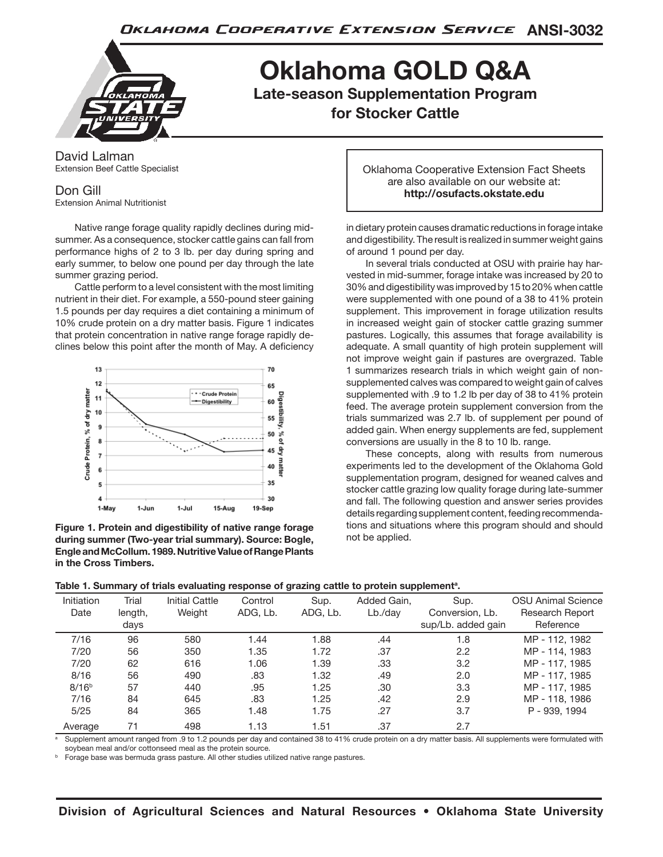

**Oklahoma GOLD Q&A Late-season Supplementation Program for Stocker Cattle**

David Lalman Extension Beef Cattle Specialist

# Don Gill

Extension Animal Nutritionist

Native range forage quality rapidly declines during midsummer. As a consequence, stocker cattle gains can fall from performance highs of 2 to 3 lb. per day during spring and early summer, to below one pound per day through the late summer grazing period.

Cattle perform to a level consistent with the most limiting nutrient in their diet. For example, a 550-pound steer gaining 1.5 pounds per day requires a diet containing a minimum of 10% crude protein on a dry matter basis. Figure 1 indicates that protein concentration in native range forage rapidly declines below this point after the month of May. A deficiency



**Figure 1. Protein and digestibility of native range forage during summer (Two-year trial summary). Source: Bogle, Engle and McCollum. 1989. Nutritive Value of Range Plants in the Cross Timbers.**

Oklahoma Cooperative Extension Fact Sheets are also available on our website at: **http://osufacts.okstate.edu**

in dietary protein causes dramatic reductions in forage intake and digestibility. The result is realized in summer weight gains of around 1 pound per day.

In several trials conducted at OSU with prairie hay harvested in mid-summer, forage intake was increased by 20 to 30% and digestibility was improved by 15 to 20% when cattle were supplemented with one pound of a 38 to 41% protein supplement. This improvement in forage utilization results in increased weight gain of stocker cattle grazing summer pastures. Logically, this assumes that forage availability is adequate. A small quantity of high protein supplement will not improve weight gain if pastures are overgrazed. Table 1 summarizes research trials in which weight gain of nonsupplemented calves was compared to weight gain of calves supplemented with .9 to 1.2 lb per day of 38 to 41% protein feed. The average protein supplement conversion from the trials summarized was 2.7 lb. of supplement per pound of added gain. When energy supplements are fed, supplement conversions are usually in the 8 to 10 lb. range.

These concepts, along with results from numerous experiments led to the development of the Oklahoma Gold supplementation program, designed for weaned calves and stocker cattle grazing low quality forage during late-summer and fall. The following question and answer series provides details regarding supplement content, feeding recommendations and situations where this program should and should not be applied.

|  |  |  | Table 1. Summary of trials evaluating response of grazing cattle to protein supplement <sup>a</sup> . |  |  |  |  |
|--|--|--|-------------------------------------------------------------------------------------------------------|--|--|--|--|
|--|--|--|-------------------------------------------------------------------------------------------------------|--|--|--|--|

| Initiation<br>Date | Trial<br>length,<br>days | <b>Initial Cattle</b><br>Weight | Control<br>ADG, Lb. | Sup.<br>ADG, Lb. | Added Gain,<br>$Lb$ ./day | Sup.<br>Conversion, Lb.<br>sup/Lb. added gain | <b>OSU Animal Science</b><br>Research Report<br>Reference |
|--------------------|--------------------------|---------------------------------|---------------------|------------------|---------------------------|-----------------------------------------------|-----------------------------------------------------------|
| 7/16               | 96                       | 580                             | 1.44                | 1.88             | .44                       | 1.8                                           | MP - 112, 1982                                            |
| 7/20               | 56                       | 350                             | 1.35                | 1.72             | .37                       | 2.2                                           | MP - 114, 1983                                            |
| 7/20               | 62                       | 616                             | 1.06                | 1.39             | .33                       | 3.2                                           | MP - 117, 1985                                            |
| 8/16               | 56                       | 490                             | .83                 | 1.32             | .49                       | 2.0                                           | MP - 117, 1985                                            |
| 8/16 <sup>b</sup>  | 57                       | 440                             | .95                 | 1.25             | .30                       | 3.3                                           | MP - 117, 1985                                            |
| 7/16               | 84                       | 645                             | .83                 | 1.25             | .42                       | 2.9                                           | MP - 118, 1986                                            |
| 5/25               | 84                       | 365                             | 1.48                | 1.75             | .27                       | 3.7                                           | P - 939, 1994                                             |
| Average            | 71                       | 498                             | 1.13                | 1.51             | .37                       | 2.7                                           |                                                           |

Supplement amount ranged from .9 to 1.2 pounds per day and contained 38 to 41% crude protein on a dry matter basis. All supplements were formulated with soybean meal and/or cottonseed meal as the protein source.

Forage base was bermuda grass pasture. All other studies utilized native range pastures.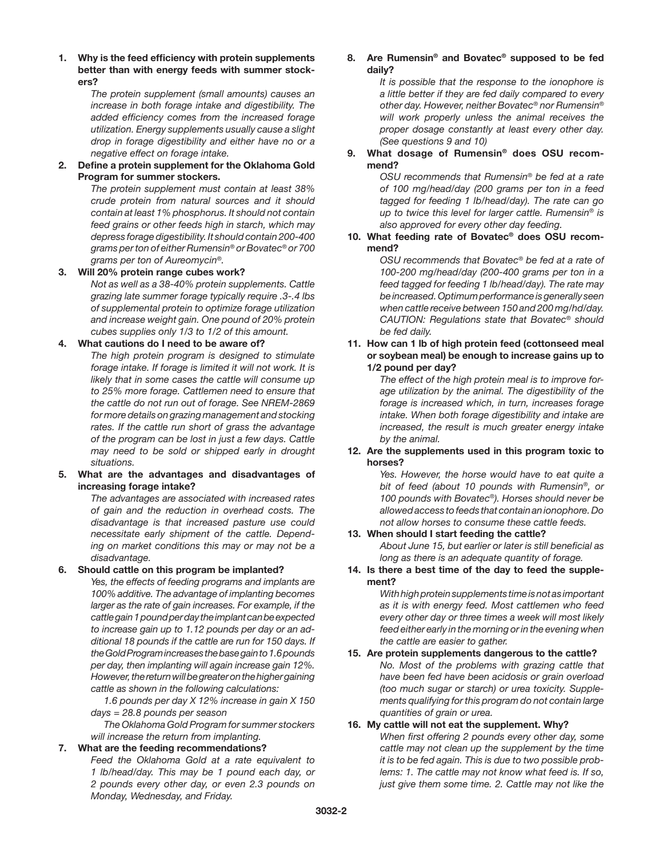**1. Why is the feed efficiency with protein supplements better than with energy feeds with summer stockers?**

> *The protein supplement (small amounts) causes an increase in both forage intake and digestibility. The added efficiency comes from the increased forage utilization. Energy supplements usually cause a slight drop in forage digestibility and either have no or a negative effect on forage intake.*

**2. Define a protein supplement for the Oklahoma Gold Program for summer stockers.**

> *The protein supplement must contain at least 38% crude protein from natural sources and it should contain at least 1% phosphorus. It should not contain feed grains or other feeds high in starch, which may depress forage digestibility. It should contain 200-400 grams per ton of either Rumensin® or Bovatec® or 700 grams per ton of Aureomycin®.*

#### **3. Will 20% protein range cubes work?**

*Not as well as a 38-40% protein supplements. Cattle grazing late summer forage typically require .3-.4 lbs of supplemental protein to optimize forage utilization and increase weight gain. One pound of 20% protein cubes supplies only 1/3 to 1/2 of this amount.*

#### **4. What cautions do I need to be aware of?**

*The high protein program is designed to stimulate forage intake. If forage is limited it will not work. It is likely that in some cases the cattle will consume up to 25% more forage. Cattlemen need to ensure that the cattle do not run out of forage. See NREM-2869 for more details on grazing management and stocking rates. If the cattle run short of grass the advantage of the program can be lost in just a few days. Cattle may need to be sold or shipped early in drought situations.*

# **5. What are the advantages and disadvantages of increasing forage intake?**

*The advantages are associated with increased rates of gain and the reduction in overhead costs. The disadvantage is that increased pasture use could necessitate early shipment of the cattle. Depending on market conditions this may or may not be a disadvantage.*

#### **6. Should cattle on this program be implanted?**

*Yes, the effects of feeding programs and implants are 100% additive. The advantage of implanting becomes larger as the rate of gain increases. For example, if the cattle gain 1 pound per day the implant can be expected to increase gain up to 1.12 pounds per day or an additional 18 pounds if the cattle are run for 150 days. If the Gold Program increases the base gain to 1.6 pounds per day, then implanting will again increase gain 12%. However, the return will be greater on the higher gaining cattle as shown in the following calculations:*

*1.6 pounds per day X 12% increase in gain X 150 days = 28.8 pounds per season*

*The Oklahoma Gold Program for summer stockers will increase the return from implanting.*

# **7. What are the feeding recommendations?**

*Feed the Oklahoma Gold at a rate equivalent to 1 lb/head/day. This may be 1 pound each day, or 2 pounds every other day, or even 2.3 pounds on Monday, Wednesday, and Friday.*

#### **8. Are Rumensin***®* **and Bovatec***®* **supposed to be fed daily?**

*It is possible that the response to the ionophore is a little better if they are fed daily compared to every other day. However, neither Bovatec® nor Rumensin® will work properly unless the animal receives the proper dosage constantly at least every other day. (See questions 9 and 10)*

# **9. What dosage of Rumensin***®* **does OSU recommend?**

*OSU recommends that Rumensin® be fed at a rate of 100 mg/head/day (200 grams per ton in a feed tagged for feeding 1 lb/head/day). The rate can go up to twice this level for larger cattle. Rumensin® is also approved for every other day feeding.*

# **10. What feeding rate of Bovatec***®* **does OSU recommend?**

*OSU recommends that Bovatec® be fed at a rate of 100-200 mg/head/day (200-400 grams per ton in a feed tagged for feeding 1 lb/head/day). The rate may be increased. Optimum performance is generally seen when cattle receive between 150 and 200 mg/hd/day. CAUTION: Regulations state that Bovatec® should be fed daily.*

#### **11. How can 1 lb of high protein feed (cottonseed meal or soybean meal) be enough to increase gains up to 1/2 pound per day?**

*The effect of the high protein meal is to improve forage utilization by the animal. The digestibility of the forage is increased which, in turn, increases forage intake. When both forage digestibility and intake are increased, the result is much greater energy intake by the animal.*

# **12. Are the supplements used in this program toxic to horses?**

*Yes. However, the horse would have to eat quite a bit of feed (about 10 pounds with Rumensin®, or 100 pounds with Bovatec®). Horses should never be allowed access to feeds that contain an ionophore. Do not allow horses to consume these cattle feeds.*

# **13. When should I start feeding the cattle?**

*About June 15, but earlier or later is still beneficial as long as there is an adequate quantity of forage.*

# **14. Is there a best time of the day to feed the supplement?**

*With high protein supplements time is not as important as it is with energy feed. Most cattlemen who feed every other day or three times a week will most likely feed either early in the morning or in the evening when the cattle are easier to gather.*

# **15. Are protein supplements dangerous to the cattle?** *No. Most of the problems with grazing cattle that have been fed have been acidosis or grain overload (too much sugar or starch) or urea toxicity. Supplements qualifying for this program do not contain large quantities of grain or urea.*

# **16. My cattle will not eat the supplement. Why?**

*When first offering 2 pounds every other day, some cattle may not clean up the supplement by the time it is to be fed again. This is due to two possible problems: 1. The cattle may not know what feed is. If so, just give them some time. 2. Cattle may not like the*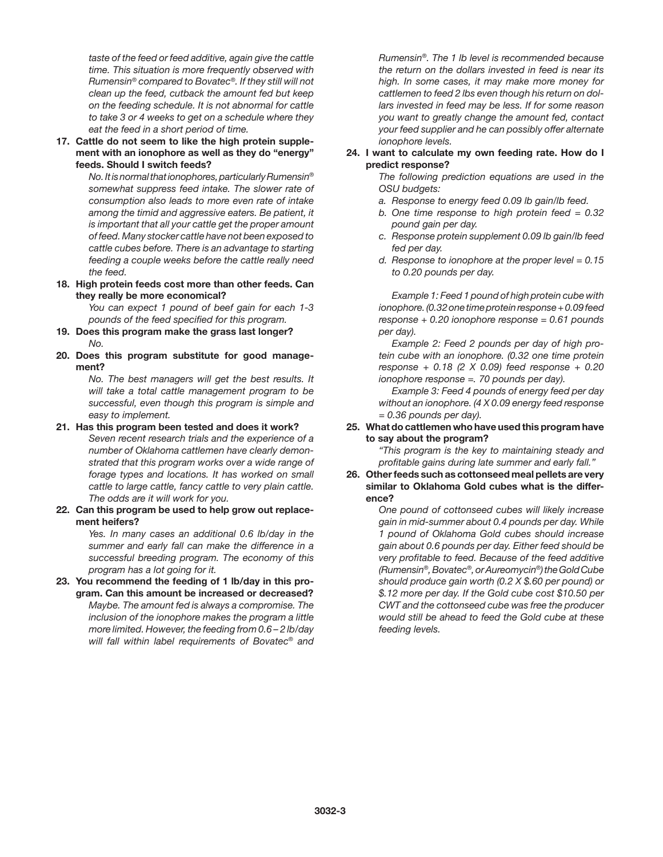*taste of the feed or feed additive, again give the cattle time. This situation is more frequently observed with Rumensin® compared to Bovatec®. If they still will not clean up the feed, cutback the amount fed but keep on the feeding schedule. It is not abnormal for cattle to take 3 or 4 weeks to get on a schedule where they eat the feed in a short period of time.* 

**17. Cattle do not seem to like the high protein supplement with an ionophore as well as they do "energy" feeds. Should I switch feeds?**

> *No. It is normal that ionophores, particularly Rumensin® somewhat suppress feed intake. The slower rate of consumption also leads to more even rate of intake among the timid and aggressive eaters. Be patient, it is important that all your cattle get the proper amount of feed. Many stocker cattle have not been exposed to cattle cubes before. There is an advantage to starting feeding a couple weeks before the cattle really need the feed.*

**18. High protein feeds cost more than other feeds. Can they really be more economical?**

*You can expect 1 pound of beef gain for each 1-3 pounds of the feed specified for this program.*

- **19. Does this program make the grass last longer?** *No.*
- **20. Does this program substitute for good management?**

*No. The best managers will get the best results. It will take a total cattle management program to be successful, even though this program is simple and easy to implement.*

- **21. Has this program been tested and does it work?** *Seven recent research trials and the experience of a number of Oklahoma cattlemen have clearly demonstrated that this program works over a wide range of forage types and locations. It has worked on small cattle to large cattle, fancy cattle to very plain cattle. The odds are it will work for you.*
- **22. Can this program be used to help grow out replacement heifers?**

*Yes. In many cases an additional 0.6 lb/day in the summer and early fall can make the difference in a successful breeding program. The economy of this program has a lot going for it.*

**23. You recommend the feeding of 1 lb/day in this program. Can this amount be increased or decreased?** *Maybe. The amount fed is always a compromise. The inclusion of the ionophore makes the program a little more limited. However, the feeding from 0.6 – 2 lb/day will fall within label requirements of Bovatec® and* 

*Rumensin®. The 1 lb level is recommended because the return on the dollars invested in feed is near its high. In some cases, it may make more money for cattlemen to feed 2 lbs even though his return on dollars invested in feed may be less. If for some reason you want to greatly change the amount fed, contact your feed supplier and he can possibly offer alternate ionophore levels.*

# **24. I want to calculate my own feeding rate. How do I predict response?**

*The following prediction equations are used in the OSU budgets:*

- *a. Response to energy feed 0.09 lb gain/lb feed.*
- *b. One time response to high protein feed = 0.32 pound gain per day.*
- *c. Response protein supplement 0.09 lb gain/lb feed fed per day.*
- *d. Response to ionophore at the proper level = 0.15 to 0.20 pounds per day.*

*Example 1: Feed 1 pound of high protein cube with ionophore. (0.32 one time protein response + 0.09 feed response + 0.20 ionophore response = 0.61 pounds per day).*

*Example 2: Feed 2 pounds per day of high protein cube with an ionophore. (0.32 one time protein response + 0.18 (2 X 0.09) feed response + 0.20 ionophore response =. 70 pounds per day).*

*Example 3: Feed 4 pounds of energy feed per day without an ionophore. (4 X 0.09 energy feed response = 0.36 pounds per day).*

## **25. What do cattlemen who have used this program have to say about the program?**

*"This program is the key to maintaining steady and profitable gains during late summer and early fall."*

**26. Other feeds such as cottonseed meal pellets are very similar to Oklahoma Gold cubes what is the difference?**

> *One pound of cottonseed cubes will likely increase gain in mid-summer about 0.4 pounds per day. While 1 pound of Oklahoma Gold cubes should increase gain about 0.6 pounds per day. Either feed should be very profitable to feed. Because of the feed additive (Rumensin®, Bovatec®, or Aureomycin®) the Gold Cube should produce gain worth (0.2 X \$.60 per pound) or \$.12 more per day. If the Gold cube cost \$10.50 per CWT and the cottonseed cube was free the producer would still be ahead to feed the Gold cube at these feeding levels.*